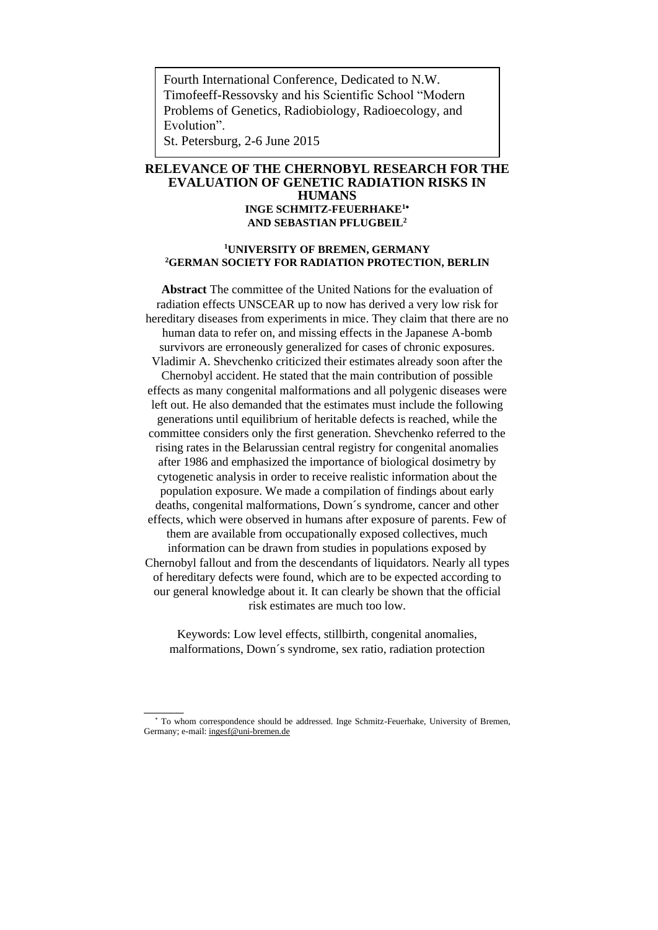Fourth International Conference, Dedicated to N.W. Timofeeff-Ressovsky and his Scientific School "Modern Problems of Genetics, Radiobiology, Radioecology, and Evolution".

St. Petersburg, 2-6 June 2015

# **RELEVANCE OF THE CHERNOBYL RESEARCH FOR THE EVALUATION OF GENETIC RADIATION RISKS IN HUMANS INGE SCHMITZ-FEUERHAKE<sup>1</sup> AND SEBASTIAN PFLUGBEIL<sup>2</sup>**

# **<sup>1</sup>UNIVERSITY OF BREMEN, GERMANY <sup>2</sup>GERMAN SOCIETY FOR RADIATION PROTECTION, BERLIN**

**Abstract** The committee of the United Nations for the evaluation of radiation effects UNSCEAR up to now has derived a very low risk for hereditary diseases from experiments in mice. They claim that there are no human data to refer on, and missing effects in the Japanese A-bomb survivors are erroneously generalized for cases of chronic exposures. Vladimir A. Shevchenko criticized their estimates already soon after the Chernobyl accident. He stated that the main contribution of possible effects as many congenital malformations and all polygenic diseases were left out. He also demanded that the estimates must include the following generations until equilibrium of heritable defects is reached, while the committee considers only the first generation. Shevchenko referred to the rising rates in the Belarussian central registry for congenital anomalies after 1986 and emphasized the importance of biological dosimetry by cytogenetic analysis in order to receive realistic information about the population exposure. We made a compilation of findings about early deaths, congenital malformations, Down´s syndrome, cancer and other effects, which were observed in humans after exposure of parents. Few of them are available from occupationally exposed collectives, much information can be drawn from studies in populations exposed by Chernobyl fallout and from the descendants of liquidators. Nearly all types of hereditary defects were found, which are to be expected according to our general knowledge about it. It can clearly be shown that the official risk estimates are much too low.

Keywords: Low level effects, stillbirth, congenital anomalies, malformations, Down´s syndrome, sex ratio, radiation protection

 $\overline{\phantom{a}}$ 

<sup>\*</sup> To whom correspondence should be addressed. Inge Schmitz-Feuerhake, University of Bremen, Germany; e-mail[: ingesf@uni-bremen.de](mailto:ingesf@uni-bremen.de)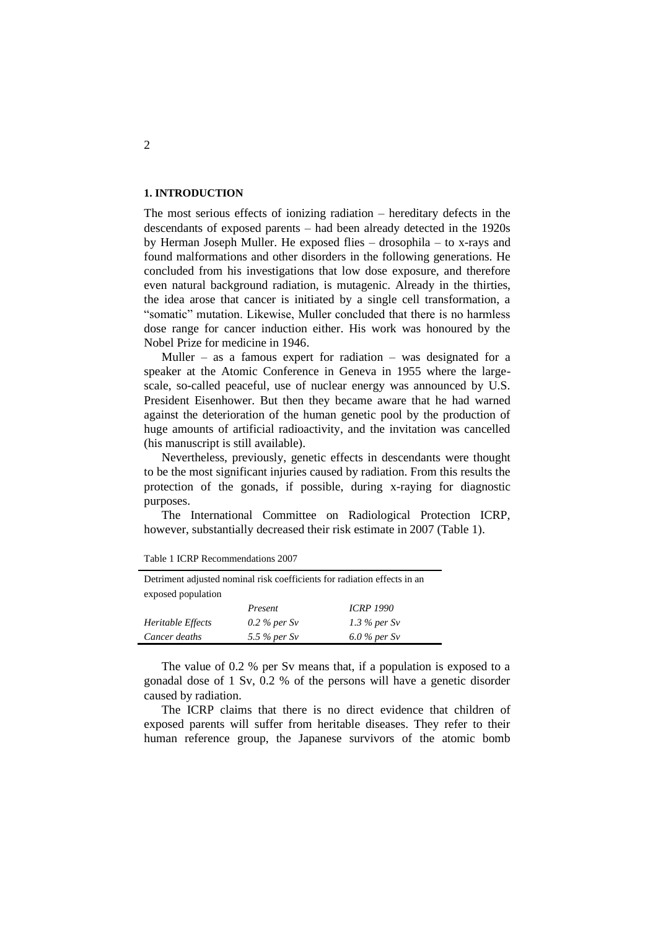### **1. INTRODUCTION**

The most serious effects of ionizing radiation – hereditary defects in the descendants of exposed parents – had been already detected in the 1920s by Herman Joseph Muller. He exposed flies – drosophila – to x-rays and found malformations and other disorders in the following generations. He concluded from his investigations that low dose exposure, and therefore even natural background radiation, is mutagenic. Already in the thirties, the idea arose that cancer is initiated by a single cell transformation, a "somatic" mutation. Likewise, Muller concluded that there is no harmless dose range for cancer induction either. His work was honoured by the Nobel Prize for medicine in 1946.

Muller – as a famous expert for radiation – was designated for a speaker at the Atomic Conference in Geneva in 1955 where the largescale, so-called peaceful, use of nuclear energy was announced by U.S. President Eisenhower. But then they became aware that he had warned against the deterioration of the human genetic pool by the production of huge amounts of artificial radioactivity, and the invitation was cancelled (his manuscript is still available).

Nevertheless, previously, genetic effects in descendants were thought to be the most significant injuries caused by radiation. From this results the protection of the gonads, if possible, during x-raying for diagnostic purposes.

The International Committee on Radiological Protection ICRP, however, substantially decreased their risk estimate in 2007 (Table 1).

| Detriment adjusted nominal risk coefficients for radiation effects in an |                |                  |  |
|--------------------------------------------------------------------------|----------------|------------------|--|
| exposed population                                                       |                |                  |  |
|                                                                          | Present        | <b>ICRP 1990</b> |  |
| Heritable Effects                                                        | 0.2 % per $Sv$ | 1.3 % per $Sv$   |  |
| Cancer deaths                                                            | 5.5 % per Sv   | $6.0\%$ per Sv   |  |

|  | Table 1 ICRP Recommendations 2007 |  |
|--|-----------------------------------|--|
|--|-----------------------------------|--|

The value of 0.2 % per Sv means that, if a population is exposed to a gonadal dose of 1 Sv, 0.2 % of the persons will have a genetic disorder caused by radiation.

The ICRP claims that there is no direct evidence that children of exposed parents will suffer from heritable diseases. They refer to their human reference group, the Japanese survivors of the atomic bomb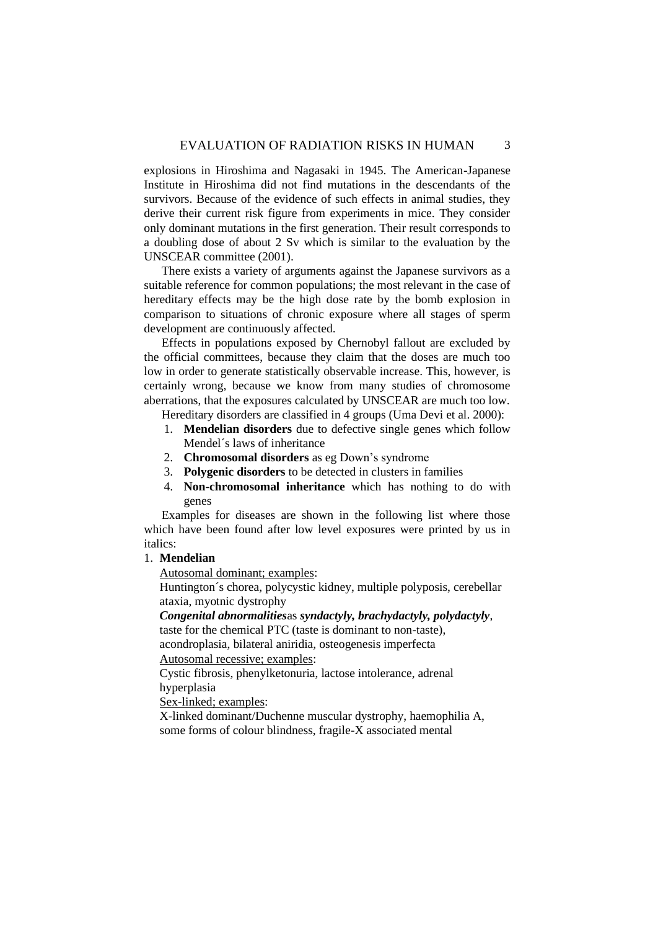explosions in Hiroshima and Nagasaki in 1945. The American-Japanese Institute in Hiroshima did not find mutations in the descendants of the survivors. Because of the evidence of such effects in animal studies, they derive their current risk figure from experiments in mice. They consider only dominant mutations in the first generation. Their result corresponds to a doubling dose of about 2 Sv which is similar to the evaluation by the [UNSCEAR committee \(2001\).](#page-17-0)

There exists a variety of arguments against the Japanese survivors as a suitable reference for common populations; the most relevant in the case of hereditary effects may be the high dose rate by the bomb explosion in comparison to situations of chronic exposure where all stages of sperm development are continuously affected.

Effects in populations exposed by Chernobyl fallout are excluded by the official committees, because they claim that the doses are much too low in order to generate statistically observable increase. This, however, is certainly wrong, because we know from many studies of chromosome aberrations, that the exposures calculated by UNSCEAR are much too low.

Hereditary disorders are classified in 4 groups [\(Uma Devi et al. 2000\)](#page-17-1):

- 1. **Mendelian disorders** due to defective single genes which follow Mendel´s laws of inheritance
- 2. **Chromosomal disorders** as eg Down's syndrome
- 3. **Polygenic disorders** to be detected in clusters in families
- 4. **Non-chromosomal inheritance** which has nothing to do with genes

Examples for diseases are shown in the following list where those which have been found after low level exposures were printed by us in italics:

#### 1. **Mendelian**

Autosomal dominant; examples:

Huntington´s chorea, polycystic kidney, multiple polyposis, cerebellar ataxia, myotnic dystrophy

# *Congenital abnormalities*as *syndactyly, brachydactyly, polydactyly*,

taste for the chemical PTC (taste is dominant to non-taste), acondroplasia, bilateral aniridia, osteogenesis imperfecta Autosomal recessive; examples:

Cystic fibrosis, phenylketonuria, lactose intolerance, adrenal hyperplasia

Sex-linked; examples:

X-linked dominant/Duchenne muscular dystrophy, haemophilia A, some forms of colour blindness, fragile-X associated mental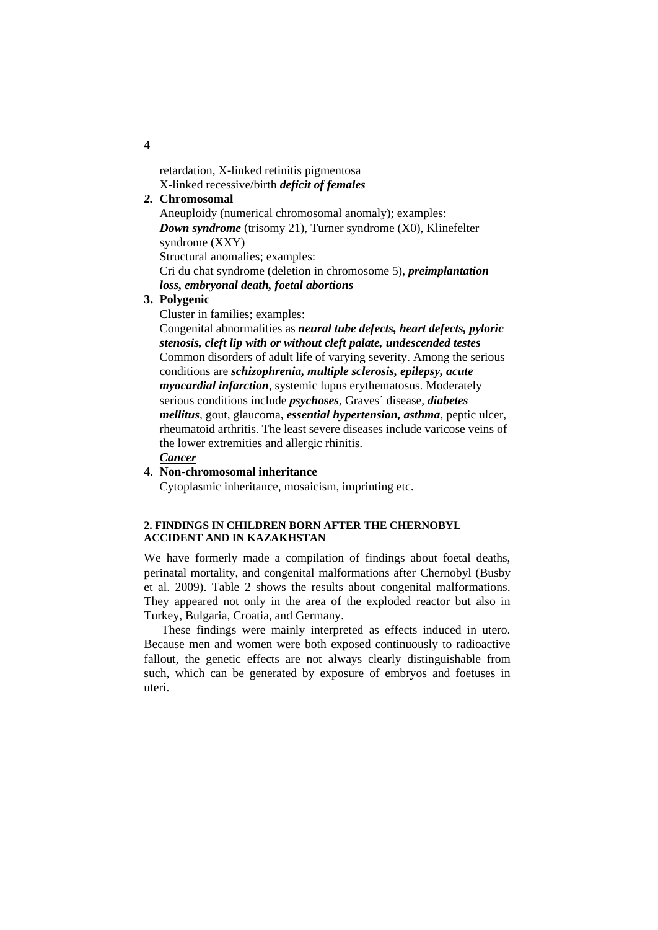retardation, X-linked retinitis pigmentosa X-linked recessive/birth *deficit of females*

# *2.* **Chromosomal**

Aneuploidy (numerical chromosomal anomaly); examples: *Down syndrome* (trisomy 21), Turner syndrome (X0), Klinefelter syndrome (XXY) Structural anomalies; examples: Cri du chat syndrome (deletion in chromosome 5), *preimplantation* 

*loss, embryonal death, foetal abortions*

# **3. Polygenic**

Cluster in families; examples:

Congenital abnormalities as *neural tube defects, heart defects, pyloric stenosis, cleft lip with or without cleft palate, undescended testes* Common disorders of adult life of varying severity. Among the serious conditions are *schizophrenia, multiple sclerosis, epilepsy, acute myocardial infarction*, systemic lupus erythematosus. Moderately serious conditions include *psychoses*, Graves´ disease, *diabetes mellitus*, gout, glaucoma, *essential hypertension, asthma*, peptic ulcer, rheumatoid arthritis. The least severe diseases include varicose veins of the lower extremities and allergic rhinitis.

# *Cancer*

## 4. **Non-chromosomal inheritance**

Cytoplasmic inheritance, mosaicism, imprinting etc.

## **2. FINDINGS IN CHILDREN BORN AFTER THE CHERNOBYL ACCIDENT AND IN KAZAKHSTAN**

We have formerly made a compilation of findings about foetal deaths, perinatal mortality, and congenital malformations after Chernobyl [\(Busby](#page-14-0)  [et al. 2009\)](#page-14-0). Table 2 shows the results about congenital malformations. They appeared not only in the area of the exploded reactor but also in Turkey, Bulgaria, Croatia, and Germany.

These findings were mainly interpreted as effects induced in utero. Because men and women were both exposed continuously to radioactive fallout, the genetic effects are not always clearly distinguishable from such, which can be generated by exposure of embryos and foetuses in uteri.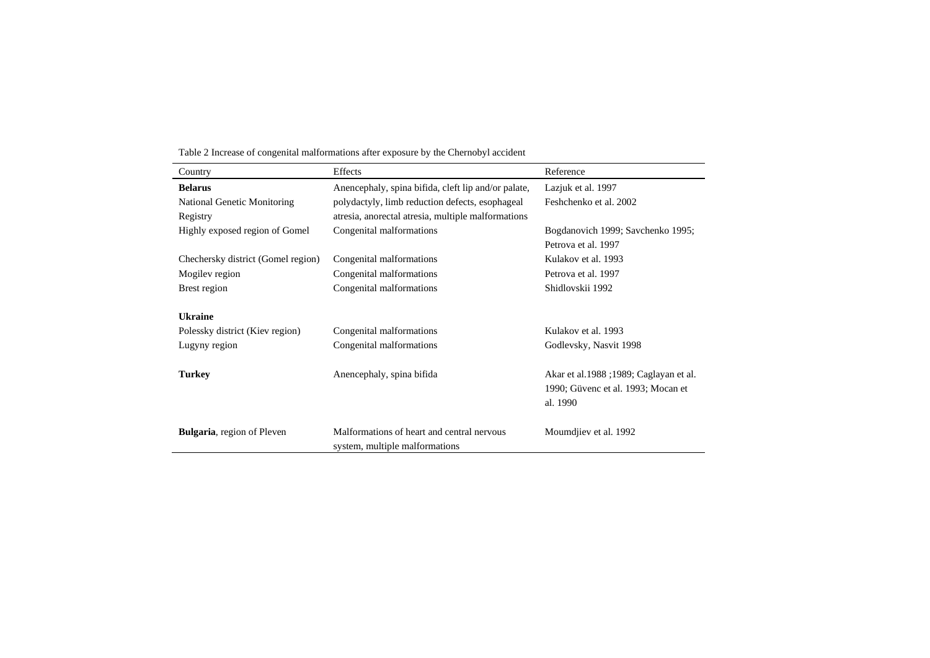| Country                            | Effects                                                                      | Reference                                                                                 |
|------------------------------------|------------------------------------------------------------------------------|-------------------------------------------------------------------------------------------|
| <b>Belarus</b>                     | Anencephaly, spina bifida, cleft lip and/or palate,                          | Lazjuk et al. 1997                                                                        |
| National Genetic Monitoring        | polydactyly, limb reduction defects, esophageal                              | Feshchenko et al. 2002                                                                    |
| Registry                           | atresia, anorectal atresia, multiple malformations                           |                                                                                           |
| Highly exposed region of Gomel     | Congenital malformations                                                     | Bogdanovich 1999; Savchenko 1995;                                                         |
|                                    |                                                                              | Petrova et al. 1997                                                                       |
| Chechersky district (Gomel region) | Congenital malformations                                                     | Kulakov et al. 1993                                                                       |
| Mogilev region                     | Congenital malformations                                                     | Petrova et al. 1997                                                                       |
| Brest region                       | Congenital malformations                                                     | Shidlovskii 1992                                                                          |
| <b>Ukraine</b>                     |                                                                              |                                                                                           |
| Polessky district (Kiev region)    | Congenital malformations                                                     | Kulakov et al. 1993                                                                       |
| Lugyny region                      | Congenital malformations                                                     | Godlevsky, Nasvit 1998                                                                    |
| <b>Turkey</b>                      | Anencephaly, spina bifida                                                    | Akar et al.1988 ; 1989; Caglayan et al.<br>1990; Güvenc et al. 1993; Mocan et<br>al. 1990 |
| <b>Bulgaria</b> , region of Pleven | Malformations of heart and central nervous<br>system, multiple malformations | Moumdjiev et al. 1992                                                                     |

Table 2 Increase of congenital malformations after exposure by the Chernobyl accident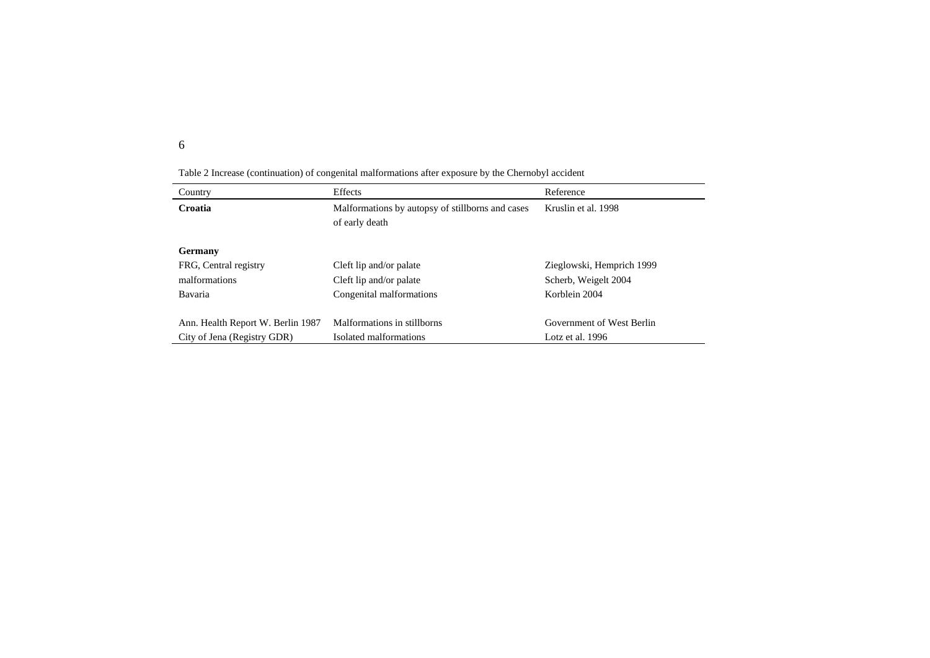| Country                           | Effects                                                            | Reference                 |
|-----------------------------------|--------------------------------------------------------------------|---------------------------|
| Croatia                           | Malformations by autopsy of stillborns and cases<br>of early death | Kruslin et al. 1998       |
| Germany                           |                                                                    |                           |
| FRG, Central registry             | Cleft lip and/or palate                                            | Zieglowski, Hemprich 1999 |
| malformations                     | Cleft lip and/or palate                                            | Scherb, Weigelt 2004      |
| Bavaria                           | Congenital malformations                                           | Korblein 2004             |
|                                   |                                                                    |                           |
| Ann. Health Report W. Berlin 1987 | Malformations in stillborns                                        | Government of West Berlin |
| City of Jena (Registry GDR)       | Isolated malformations                                             | Lotz et al. $1996$        |

Table 2 Increase (continuation) of congenital malformations after exposure by the Chernobyl accident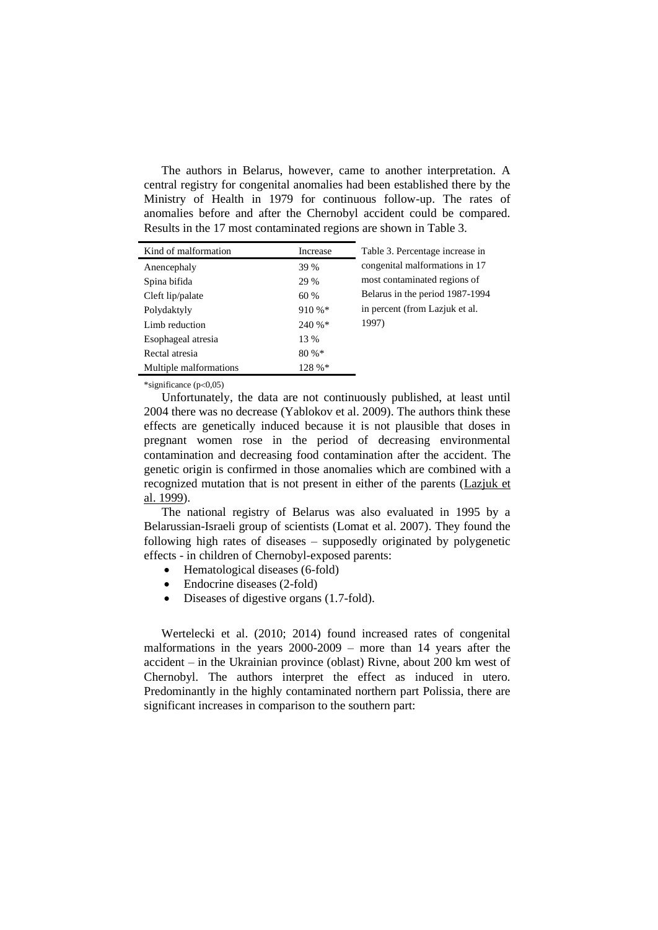The authors in Belarus, however, came to another interpretation. A central registry for congenital anomalies had been established there by the Ministry of Health in 1979 for continuous follow-up. The rates of anomalies before and after the Chernobyl accident could be compared. Results in the 17 most contaminated regions are shown in Table 3.

| Kind of malformation   | Increase | Table 3. Percentage increase in |
|------------------------|----------|---------------------------------|
| Anencephaly            | 39 %     | congenital malformations in 17  |
| Spina bifida           | 29 %     | most contaminated regions of    |
| Cleft lip/palate       | 60 %     | Belarus in the period 1987-1994 |
| Polydaktyly            | 910 %*   | in percent (from Lazjuk et al.) |
| Limb reduction         | 240 %*   | 1997)                           |
| Esophageal atresia     | 13 %     |                                 |
| Rectal atresia         | 80%      |                                 |
| Multiple malformations | 128 %*   |                                 |

\*significance  $(p<0.05)$ 

Unfortunately, the data are not continuously published, at least until 2004 there was no decrease [\(Yablokov et al. 2009\)](#page-17-3). The authors think these effects are genetically induced because it is not plausible that doses in pregnant women rose in the period of decreasing environmental contamination and decreasing food contamination after the accident. The genetic origin is confirmed in those anomalies which are combined with a recognized mutation that is not present in either of the parents [\(Lazjuk](#page-15-8) et [al. 1999\)](#page-15-8).

The national registry of Belarus was also evaluated in 1995 by a Belarussian-Israeli group of scientists [\(Lomat et al. 2007\)](#page-15-9). They found the following high rates of diseases – supposedly originated by polygenetic effects - in children of Chernobyl-exposed parents:

- Hematological diseases (6-fold)
- Endocrine diseases (2-fold)
- Diseases of digestive organs (1.7-fold).

[Wertelecki et al. \(2010;](#page-17-4) [2014\)](#page-17-5) found increased rates of congenital malformations in the years 2000-2009 – more than 14 years after the accident – in the Ukrainian province (oblast) Rivne, about 200 km west of Chernobyl. The authors interpret the effect as induced in utero. Predominantly in the highly contaminated northern part Polissia, there are significant increases in comparison to the southern part: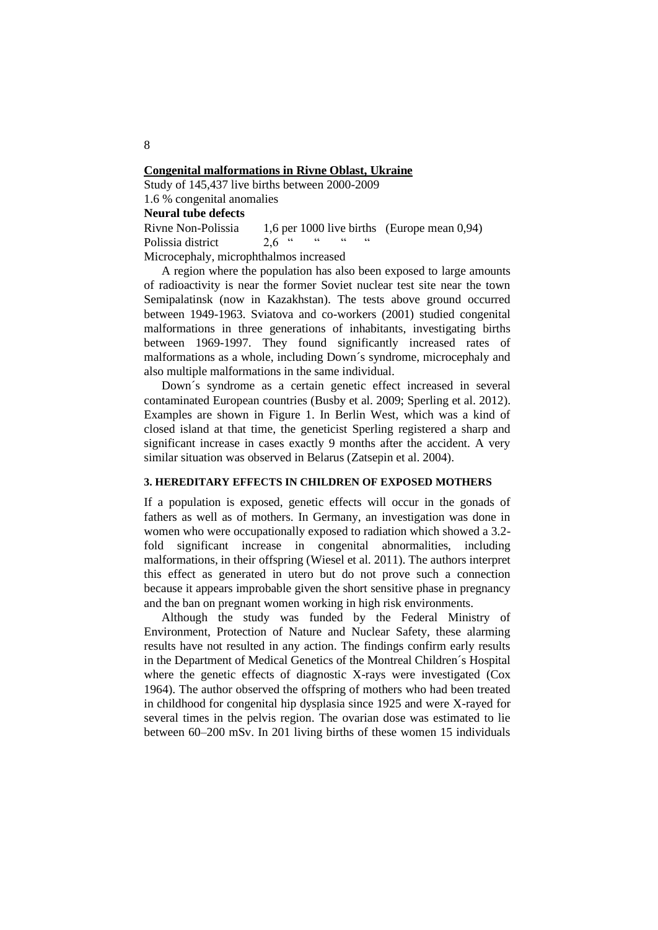#### **Congenital malformations in Rivne Oblast, Ukraine**

Study of 145,437 live births between 2000-2009 1.6 % congenital anomalies

# **Neural tube defects**

Rivne Non-Polissia 1,6 per 1000 live births (Europe mean 0,94) Polissia district  $2.6$  " " " Microcephaly, microphthalmos increased

A region where the population has also been exposed to large amounts of radioactivity is near the former Soviet nuclear test site near the town Semipalatinsk (now in Kazakhstan). The tests above ground occurred between 1949-1963. Sviatova and co-workers (2001) studied congenital malformations in three generations of inhabitants, investigating births between 1969-1997. They found significantly increased rates of malformations as a whole, including Down´s syndrome, microcephaly and also multiple malformations in the same individual.

Down´s syndrome as a certain genetic effect increased in several contaminated European countries [\(Busby et al. 2009;](#page-14-0) [Sperling et al. 2012\)](#page-16-4). Examples are shown in Figure 1. In Berlin West, which was a kind of closed island at that time, the geneticist Sperling registered a sharp and significant increase in cases exactly 9 months after the accident. A very similar situation was observed in Belarus [\(Zatsepin et al. 2004\)](#page-17-6).

## **3. HEREDITARY EFFECTS IN CHILDREN OF EXPOSED MOTHERS**

If a population is exposed, genetic effects will occur in the gonads of fathers as well as of mothers. In Germany, an investigation was done in women who were occupationally exposed to radiation which showed a 3.2 fold significant increase in congenital abnormalities, including malformations, in their offspring [\(Wiesel et al. 2011\)](#page-17-7). The authors interpret this effect as generated in utero but do not prove such a connection because it appears improbable given the short sensitive phase in pregnancy and the ban on pregnant women working in high risk environments.

Although the study was funded by the Federal Ministry of Environment, Protection of Nature and Nuclear Safety, these alarming results have not resulted in any action. The findings confirm early results in the Department of Medical Genetics of the Montreal Children´s Hospital where the genetic effects of diagnostic X-rays were investigated [\(Cox](#page-14-9)  [1964\)](#page-14-9). The author observed the offspring of mothers who had been treated in childhood for congenital hip dysplasia since 1925 and were X-rayed for several times in the pelvis region. The ovarian dose was estimated to lie between 60–200 mSv. In 201 living births of these women 15 individuals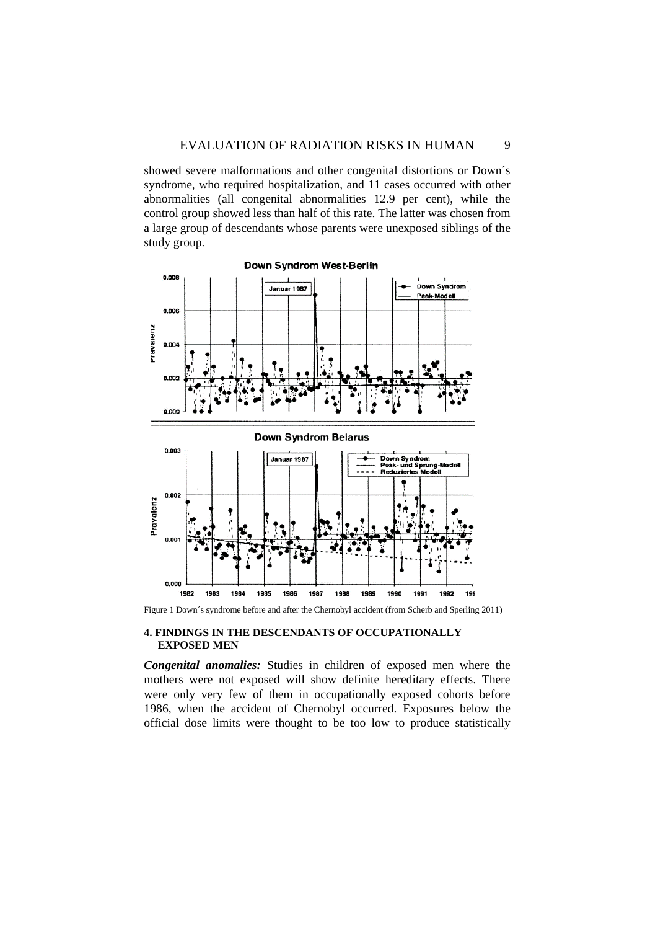showed severe malformations and other congenital distortions or Down´s syndrome, who required hospitalization, and 11 cases occurred with other abnormalities (all congenital abnormalities 12.9 per cent), while the control group showed less than half of this rate. The latter was chosen from a large group of descendants whose parents were unexposed siblings of the study group.



Figure 1 Down's syndrome before and after the Chernobyl accident (fro[m Scherb and Sperling 2011\)](#page-16-5)

#### **4. FINDINGS IN THE DESCENDANTS OF OCCUPATIONALLY EXPOSED MEN**

*Congenital anomalies:* Studies in children of exposed men where the mothers were not exposed will show definite hereditary effects. There were only very few of them in occupationally exposed cohorts before 1986, when the accident of Chernobyl occurred. Exposures below the official dose limits were thought to be too low to produce statistically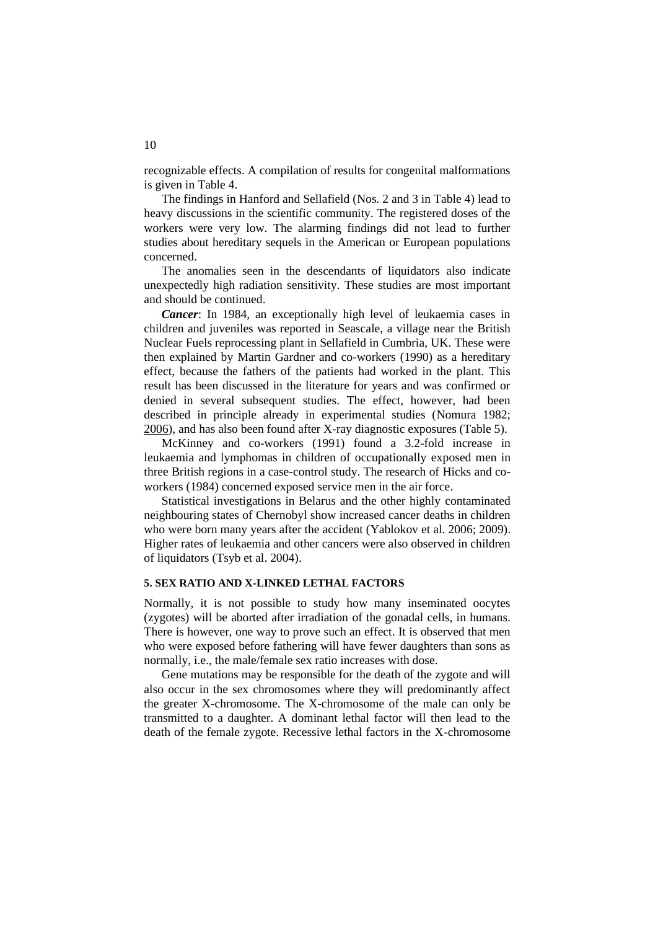recognizable effects. A compilation of results for congenital malformations is given in Table 4.

The findings in Hanford and Sellafield (Nos. 2 and 3 in Table 4) lead to heavy discussions in the scientific community. The registered doses of the workers were very low. The alarming findings did not lead to further studies about hereditary sequels in the American or European populations concerned.

The anomalies seen in the descendants of liquidators also indicate unexpectedly high radiation sensitivity. These studies are most important and should be continued.

*Cancer*: In 1984, an exceptionally high level of leukaemia cases in children and juveniles was reported in Seascale, a village near the British Nuclear Fuels reprocessing plant in Sellafield in Cumbria, UK. These were then explained by [Martin Gardner and co-workers \(1990\)](#page-14-10) as a hereditary effect, because the fathers of the patients had worked in the plant. This result has been discussed in the literature for years and was confirmed or denied in several subsequent studies. The effect, however, had been described in principle already in experimental studies [\(Nomura](#page-15-10) 1982; [2006\)](#page-15-11), and has also been found after X-ray diagnostic exposures (Table 5).

[McKinney and co-workers \(1991\)](#page-15-12) found a 3.2-fold increase in leukaemia and lymphomas in children of occupationally exposed men in three British regions in a case-control study. The research of [Hicks and co](#page-14-11)[workers \(1984\)](#page-14-11) concerned exposed service men in the air force.

Statistical investigations in Belarus and the other highly contaminated neighbouring states of Chernobyl show increased cancer deaths in children who were born many years after the accident [\(Yablokov et al. 2006;](#page-17-8) [2009\)](#page-17-3). Higher rates of leukaemia and other cancers were also observed in children of liquidators (Tsyb [et al. 2004\)](#page-17-9).

#### **5. SEX RATIO AND X-LINKED LETHAL FACTORS**

Normally, it is not possible to study how many inseminated oocytes (zygotes) will be aborted after irradiation of the gonadal cells, in humans. There is however, one way to prove such an effect. It is observed that men who were exposed before fathering will have fewer daughters than sons as normally, i.e., the male/female sex ratio increases with dose.

Gene mutations may be responsible for the death of the zygote and will also occur in the sex chromosomes where they will predominantly affect the greater X-chromosome. The X-chromosome of the male can only be transmitted to a daughter. A dominant lethal factor will then lead to the death of the female zygote. Recessive lethal factors in the X-chromosome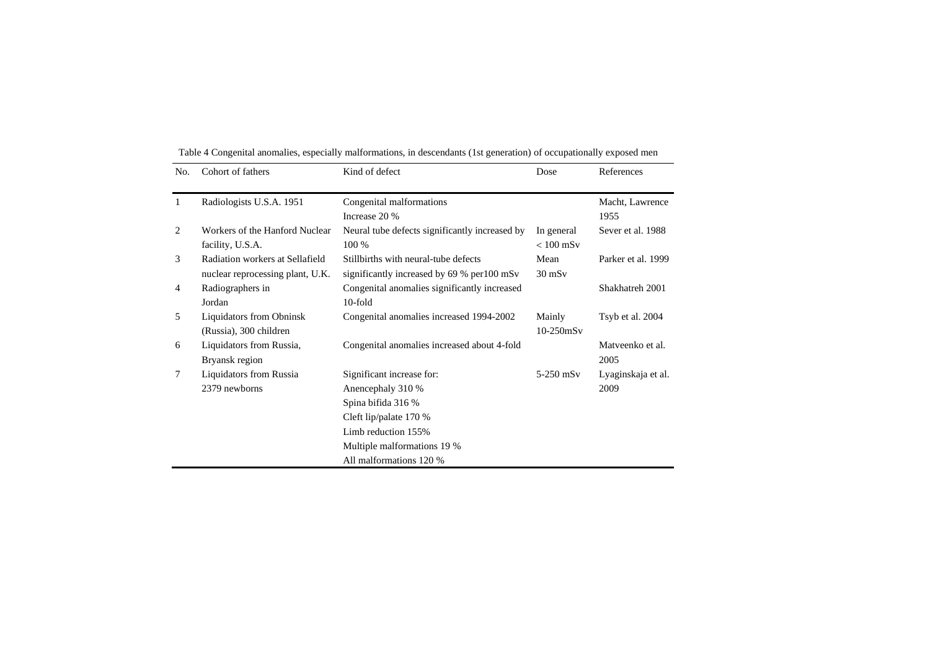| No. | Cohort of fathers                                                   | Kind of defect                                                                                                                                                                  | Dose                      | References                 |
|-----|---------------------------------------------------------------------|---------------------------------------------------------------------------------------------------------------------------------------------------------------------------------|---------------------------|----------------------------|
| 1   | Radiologists U.S.A. 1951                                            | Congenital malformations<br>Increase 20 %                                                                                                                                       |                           | Macht, Lawrence<br>1955    |
| 2   | Workers of the Hanford Nuclear<br>facility, U.S.A.                  | Neural tube defects significantly increased by<br>100 %                                                                                                                         | In general<br>$< 100$ mSv | Sever et al. 1988          |
| 3   | Radiation workers at Sellafield<br>nuclear reprocessing plant, U.K. | Stillbirths with neural-tube defects<br>significantly increased by 69 % per 100 mSv                                                                                             | Mean<br>$30$ mS $v$       | Parker et al. 1999         |
| 4   | Radiographers in<br>Jordan                                          | Congenital anomalies significantly increased<br>$10$ -fold                                                                                                                      |                           | Shakhatreh 2001            |
| 5   | <b>Liquidators from Obninsk</b><br>(Russia), 300 children           | Congenital anomalies increased 1994-2002                                                                                                                                        | Mainly<br>$10-250$ m $Sv$ | Tsyb et al. 2004           |
| 6   | Liquidators from Russia,<br>Bryansk region                          | Congenital anomalies increased about 4-fold                                                                                                                                     |                           | Matyeenko et al.<br>2005   |
| 7   | Liquidators from Russia<br>2379 newborns                            | Significant increase for:<br>Anencephaly 310 %<br>Spina bifida 316 %<br>Cleft lip/palate 170 %<br>Limb reduction 155%<br>Multiple malformations 19 %<br>All malformations 120 % | $5-250$ mSv               | Lyaginskaja et al.<br>2009 |

Table 4 Congenital anomalies, especially malformations, in descendants (1st generation) of occupationally exposed men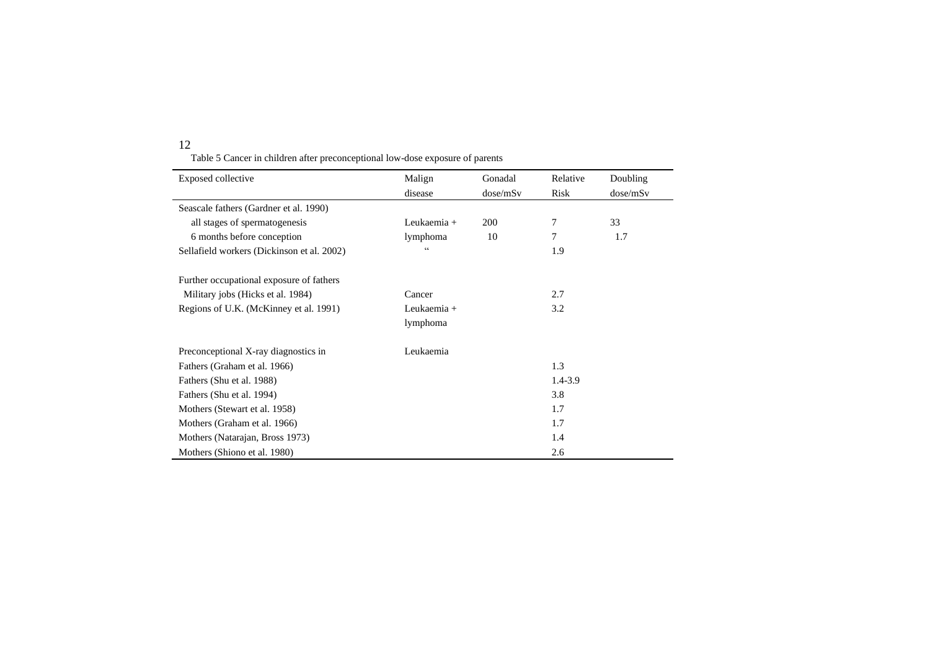Table 5 Cancer in children after preconceptional low-dose exposure of parents

| <b>Exposed collective</b>                  | Malign      | Gonadal  | Relative    | Doubling |
|--------------------------------------------|-------------|----------|-------------|----------|
|                                            | disease     | dose/mSv | Risk        | dose/mSv |
| Seascale fathers (Gardner et al. 1990)     |             |          |             |          |
| all stages of spermatogenesis              | Leukaemia + | 200      | 7           | 33       |
| 6 months before conception                 | lymphoma    | 10       | 7           | 1.7      |
| Sellafield workers (Dickinson et al. 2002) |             |          | 1.9         |          |
| Further occupational exposure of fathers   |             |          |             |          |
| Military jobs (Hicks et al. 1984)          | Cancer      |          | 2.7         |          |
| Regions of U.K. (McKinney et al. 1991)     | Leukaemia + |          | 3.2         |          |
|                                            | lymphoma    |          |             |          |
| Preconceptional X-ray diagnostics in       | Leukaemia   |          |             |          |
| Fathers (Graham et al. 1966)               |             |          | 1.3         |          |
| Fathers (Shu et al. 1988)                  |             |          | $1.4 - 3.9$ |          |
| Fathers (Shu et al. 1994)                  |             |          | 3.8         |          |
| Mothers (Stewart et al. 1958)              |             |          | 1.7         |          |
| Mothers (Graham et al. 1966)               |             |          | 1.7         |          |
| Mothers (Natarajan, Bross 1973)            |             |          | 1.4         |          |
| Mothers (Shiono et al. 1980)               |             |          | 2.6         |          |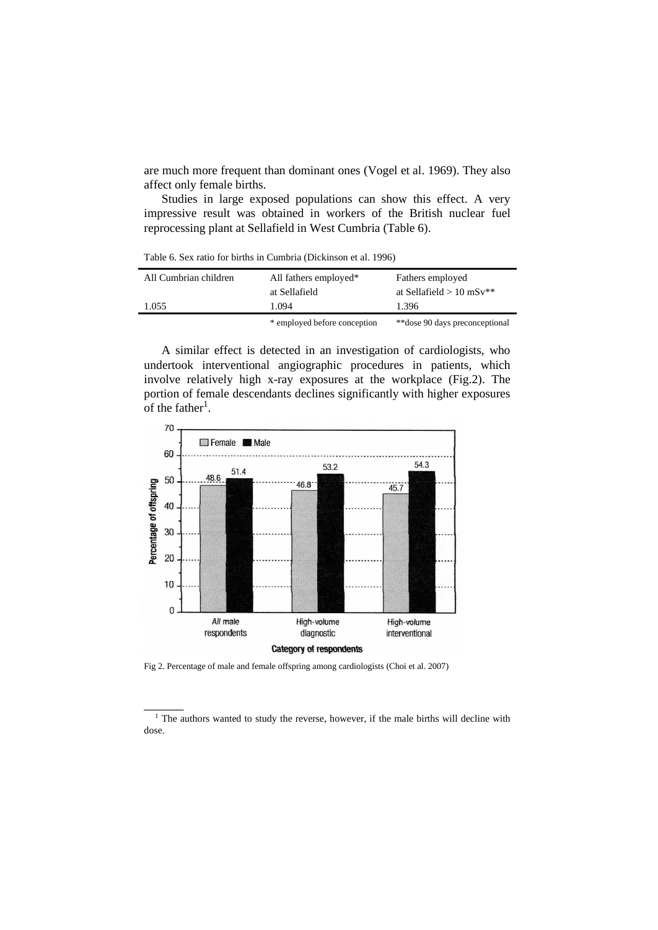are much more frequent than dominant ones [\(Vogel et al. 1969\)](#page-17-11). They also affect only female births.

Studies in large exposed populations can show this effect. A very impressive result was obtained in workers of the British nuclear fuel reprocessing plant at Sellafield in West Cumbria (Table 6).

Table 6. Sex ratio for births in Cumbria [\(Dickinson et al. 1996\)](#page-14-16)

| All Cumbrian children | All fathers employed*        | Fathers employed               |
|-----------------------|------------------------------|--------------------------------|
|                       | at Sellafield                | at Sellafield $> 10$ mSv**     |
| 1.055                 | 1.094                        | 1.396                          |
|                       | * employed before conception | **dose 90 days preconceptional |

A similar effect is detected in an investigation of cardiologists, who undertook interventional angiographic procedures in patients, which involve relatively high x-ray exposures at the workplace (Fig.2). The portion of female descendants declines significantly with higher exposures of the father<sup>1</sup>.



Fig 2. Percentage of male and female offspring among cardiologists [\(Choi et al. 2007\)](#page-14-17)

 $\overline{\phantom{a}}$ 

<sup>&</sup>lt;sup>1</sup> The authors wanted to study the reverse, however, if the male births will decline with dose.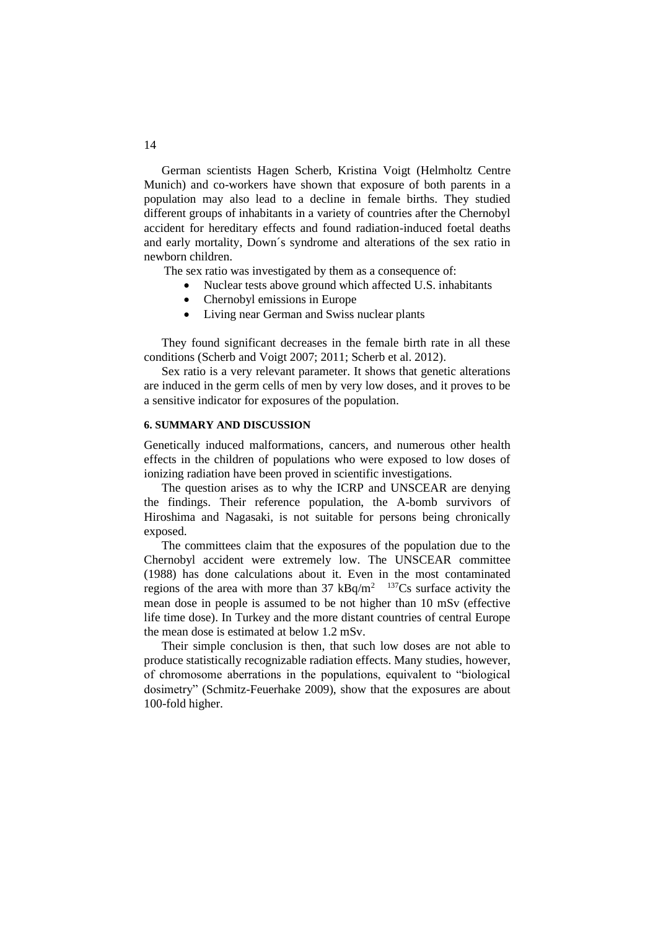German scientists Hagen Scherb, Kristina Voigt (Helmholtz Centre Munich) and co-workers have shown that exposure of both parents in a population may also lead to a decline in female births. They studied different groups of inhabitants in a variety of countries after the Chernobyl accident for hereditary effects and found radiation-induced foetal deaths and early mortality, Down´s syndrome and alterations of the sex ratio in newborn children.

The sex ratio was investigated by them as a consequence of:

- Nuclear tests above ground which affected U.S. inhabitants
- Chernobyl emissions in Europe
- Living near German and Swiss nuclear plants

They found significant decreases in the female birth rate in all these conditions (Scherb and [Voigt 2007;](#page-16-13) [2011;](#page-16-14) [Scherb et al. 2012\)](#page-16-15).

Sex ratio is a very relevant parameter. It shows that genetic alterations are induced in the germ cells of men by very low doses, and it proves to be a sensitive indicator for exposures of the population.

## **6. SUMMARY AND DISCUSSION**

Genetically induced malformations, cancers, and numerous other health effects in the children of populations who were exposed to low doses of ionizing radiation have been proved in scientific investigations.

The question arises as to why the ICRP and UNSCEAR are denying the findings. Their reference population, the A-bomb survivors of Hiroshima and Nagasaki, is not suitable for persons being chronically exposed.

The committees claim that the exposures of the population due to the Chernobyl accident were extremely low. The [UNSCEAR committee](#page-17-12)  [\(1988\)](#page-17-12) has done calculations about it. Even in the most contaminated regions of the area with more than 37  $kBq/m^2$  <sup>137</sup>Cs surface activity the mean dose in people is assumed to be not higher than 10 mSv (effective life time dose). In Turkey and the more distant countries of central Europe the mean dose is estimated at below 1.2 mSv.

Their simple conclusion is then, that such low doses are not able to produce statistically recognizable radiation effects. Many studies, however, of chromosome aberrations in the populations, equivalent to "biological dosimetry" (Schmitz-Feuerhake 2009), show that the exposures are about 100-fold higher.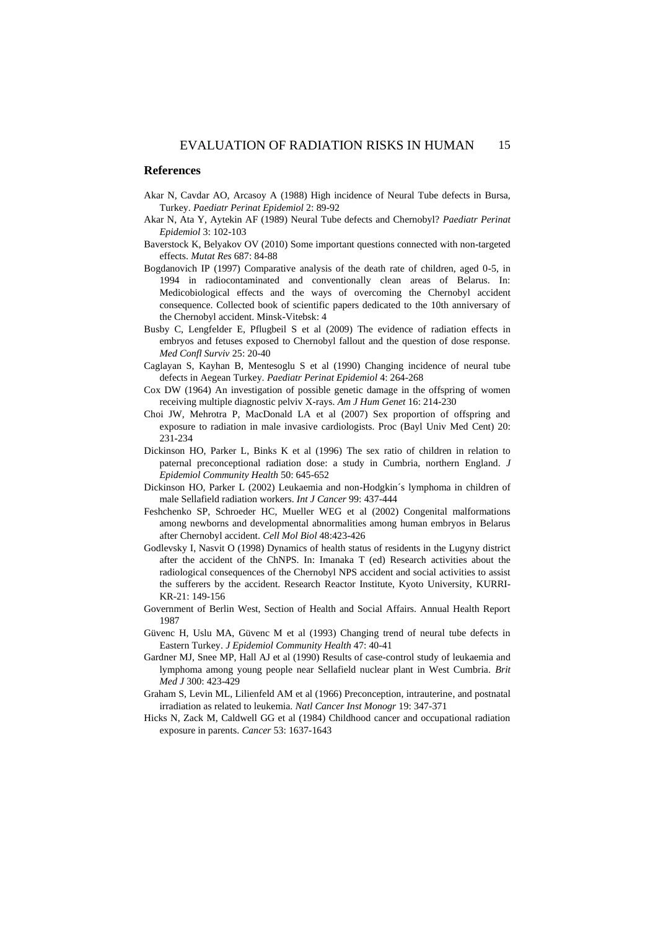#### <span id="page-14-6"></span><span id="page-14-5"></span><span id="page-14-4"></span><span id="page-14-2"></span>**References**

- Akar N, Cavdar AO, Arcasoy A (1988) High incidence of Neural Tube defects in Bursa, Turkey. *Paediatr Perinat Epidemiol* 2: 89-92
- <span id="page-14-13"></span>Akar N, Ata Y, Aytekin AF (1989) Neural Tube defects and Chernobyl? *Paediatr Perinat Epidemiol* 3: 102-103
- <span id="page-14-1"></span>Baverstock K, Belyakov OV (2010) Some important questions connected with non-targeted effects. *Mutat Res* 687: 84-88
- <span id="page-14-3"></span>Bogdanovich IP (1997) Comparative analysis of the death rate of children, aged 0-5, in 1994 in radiocontaminated and conventionally clean areas of Belarus. In: Medicobiological effects and the ways of overcoming the Chernobyl accident consequence. Collected book of scientific papers dedicated to the 10th anniversary of the Chernobyl accident. Minsk-Vitebsk: 4
- <span id="page-14-8"></span><span id="page-14-0"></span>Busby C, Lengfelder E, Pflugbeil S et al (2009) The evidence of radiation effects in embryos and fetuses exposed to Chernobyl fallout and the question of dose response. *Med Confl Surviv* 25: 20-40
- <span id="page-14-7"></span>Caglayan S, Kayhan B, Mentesoglu S et al (1990) Changing incidence of neural tube defects in Aegean Turkey. *Paediatr Perinat Epidemiol* 4: 264-268
- <span id="page-14-12"></span><span id="page-14-9"></span>Cox DW (1964) An investigation of possible genetic damage in the offspring of women receiving multiple diagnostic pelviv X-rays. *Am J Hum Genet* 16: 214-230
- <span id="page-14-17"></span><span id="page-14-15"></span>Choi JW, Mehrotra P, MacDonald LA et al (2007) Sex proportion of offspring and exposure to radiation in male invasive cardiologists. Proc (Bayl Univ Med Cent) 20: 231-234
- <span id="page-14-16"></span><span id="page-14-14"></span>Dickinson HO, Parker L, Binks K et al (1996) The sex ratio of children in relation to paternal preconceptional radiation dose: a study in Cumbria, northern England. *J Epidemiol Community Health* 50: 645-652
- Dickinson HO, Parker L (2002) Leukaemia and non-Hodgkin´s lymphoma in children of male Sellafield radiation workers. *Int J Cancer* 99: 437-444
- Feshchenko SP, Schroeder HC, Mueller WEG et al (2002) Congenital malformations among newborns and developmental abnormalities among human embryos in Belarus after Chernobyl accident. *Cell Mol Biol* 48:423-426
- Godlevsky I, Nasvit O (1998) Dynamics of health status of residents in the Lugyny district after the accident of the ChNPS. In: Imanaka T (ed) Research activities about the radiological consequences of the Chernobyl NPS accident and social activities to assist the sufferers by the accident. Research Reactor Institute, Kyoto University, KURRI-KR-21: 149-156
- Government of Berlin West, Section of Health and Social Affairs. Annual Health Report 1987
- Güvenc H, Uslu MA, Güvenc M et al (1993) Changing trend of neural tube defects in Eastern Turkey. *J Epidemiol Community Health* 47: 40-41
- <span id="page-14-10"></span>Gardner MJ, Snee MP, Hall AJ et al (1990) Results of case-control study of leukaemia and lymphoma among young people near Sellafield nuclear plant in West Cumbria. *Brit Med J* 300: 423-429
- Graham S, Levin ML, Lilienfeld AM et al (1966) Preconception, intrauterine, and postnatal irradiation as related to leukemia. *Natl Cancer Inst Monogr* 19: 347-371
- <span id="page-14-11"></span>Hicks N, Zack M, Caldwell GG et al (1984) Childhood cancer and occupational radiation exposure in parents. *Cancer* 53: 1637-1643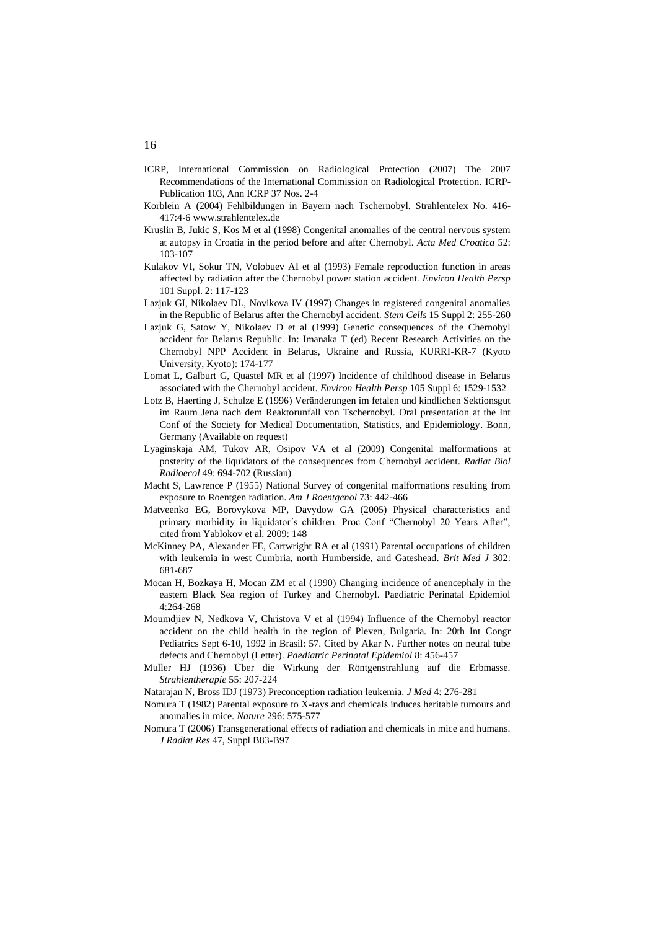- <span id="page-15-15"></span><span id="page-15-6"></span><span id="page-15-5"></span><span id="page-15-4"></span><span id="page-15-1"></span><span id="page-15-0"></span>ICRP, International Commission on Radiological Protection (2007) The 2007 Recommendations of the International Commission on Radiological Protection. ICRP-Publication 103, Ann ICRP 37 Nos. 2-4
- <span id="page-15-13"></span>Korblein A (2004) Fehlbildungen in Bayern nach Tschernobyl. Strahlentelex No. 416- 417:4-6 [www.strahlentelex.de](http://www.strahlentelex.de/)
- <span id="page-15-14"></span>Kruslin B, Jukic S, Kos M et al (1998) Congenital anomalies of the central nervous system at autopsy in Croatia in the period before and after Chernobyl. *Acta Med Croatica* 52: 103-107
- <span id="page-15-16"></span>Kulakov VI, Sokur TN, Volobuev AI et al (1993) Female reproduction function in areas affected by radiation after the Chernobyl power station accident. *Environ Health Persp*  101 Suppl. 2: 117-123
- <span id="page-15-7"></span><span id="page-15-2"></span>Lazjuk GI, Nikolaev DL, Novikova IV (1997) Changes in registered congenital anomalies in the Republic of Belarus after the Chernobyl accident. *Stem Cells* 15 Suppl 2: 255-260
- <span id="page-15-8"></span><span id="page-15-3"></span>Lazjuk G, Satow Y, Nikolaev D et al (1999) Genetic consequences of the Chernobyl accident for Belarus Republic. In: Imanaka T (ed) Recent Research Activities on the Chernobyl NPP Accident in Belarus, Ukraine and Russia, KURRI-KR-7 (Kyoto University, Kyoto): 174-177
- <span id="page-15-9"></span>Lomat L, Galburt G, Quastel MR et al (1997) Incidence of childhood disease in Belarus associated with the Chernobyl accident. *Environ Health Persp* 105 Suppl 6: 1529-1532
- <span id="page-15-17"></span>Lotz B, Haerting J, Schulze E (1996) Veränderungen im fetalen und kindlichen Sektionsgut im Raum Jena nach dem Reaktorunfall von Tschernobyl. Oral presentation at the Int Conf of the Society for Medical Documentation, Statistics, and Epidemiology. Bonn, Germany (Available on request)
- Lyaginskaja AM, Tukov AR, Osipov VA et al (2009) Congenital malformations at posterity of the liquidators of the consequences from Chernobyl accident. *Radiat Biol Radioecol* 49: 694-702 (Russian)
- Macht S, Lawrence P (1955) National Survey of congenital malformations resulting from exposure to Roentgen radiation. *Am J Roentgenol* 73: 442-466
- Matveenko EG, Borovykova MP, Davydow GA (2005) Physical characteristics and primary morbidity in liquidator's children. Proc Conf "Chernobyl 20 Years After", cited from Yablokov et al. 2009: 148
- <span id="page-15-12"></span>McKinney PA, Alexander FE, Cartwright RA et al (1991) Parental occupations of children with leukemia in west Cumbria, north Humberside, and Gateshead. *Brit Med J* 302: 681-687
- Mocan H, Bozkaya H, Mocan ZM et al (1990) Changing incidence of anencephaly in the eastern Black Sea region of Turkey and Chernobyl. Paediatric Perinatal Epidemiol 4:264-268
- Moumdjiev N, Nedkova V, Christova V et al (1994) Influence of the Chernobyl reactor accident on the child health in the region of Pleven, Bulgaria. In: 20th Int Congr Pediatrics Sept 6-10, 1992 in Brasil: 57. Cited by Akar N. Further notes on neural tube defects and Chernobyl (Letter). *Paediatric Perinatal Epidemiol* 8: 456-457
- Muller HJ (1936) Über die Wirkung der Röntgenstrahlung auf die Erbmasse. *Strahlentherapie* 55: 207-224
- Natarajan N, Bross IDJ (1973) Preconception radiation leukemia. *J Med* 4: 276-281
- <span id="page-15-10"></span>Nomura T (1982) Parental exposure to X-rays and chemicals induces heritable tumours and anomalies in mice. *Nature* 296: 575-577
- <span id="page-15-11"></span>Nomura T (2006) Transgenerational effects of radiation and chemicals in mice and humans. *J Radiat Res* 47, Suppl B83-B97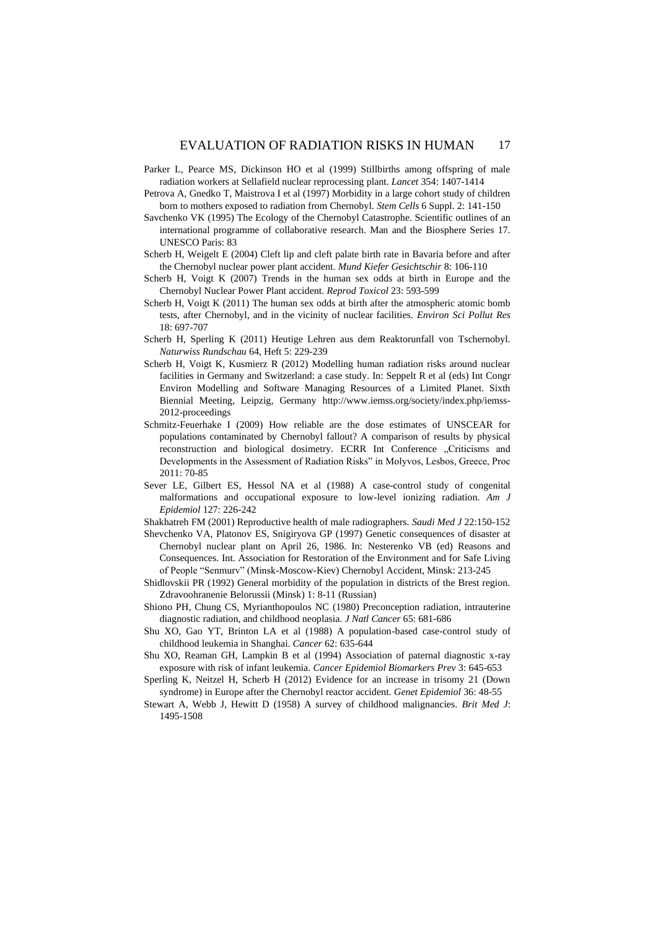- <span id="page-16-7"></span><span id="page-16-3"></span><span id="page-16-1"></span><span id="page-16-0"></span>Parker L, Pearce MS, Dickinson HO et al (1999) Stillbirths among offspring of male radiation workers at Sellafield nuclear reprocessing plant. *Lancet* 354: 1407-1414
- Petrova A, Gnedko T, Maistrova I et al (1997) Morbidity in a large cohort study of children born to mothers exposed to radiation from Chernobyl. *Stem Cells* 6 Suppl. 2: 141-150
- <span id="page-16-6"></span>Savchenko VK (1995) The Ecology of the Chernobyl Catastrophe. Scientific outlines of an international programme of collaborative research. Man and the Biosphere Series 17. UNESCO Paris: 83
- <span id="page-16-8"></span>Scherb H, Weigelt E (2004) Cleft lip and cleft palate birth rate in Bavaria before and after the Chernobyl nuclear power plant accident. *Mund Kiefer Gesichtschir* 8: 106-110
- <span id="page-16-13"></span>Scherb H, Voigt K (2007) Trends in the human sex odds at birth in Europe and the Chernobyl Nuclear Power Plant accident. *Reprod Toxicol* 23: 593-599
- <span id="page-16-14"></span><span id="page-16-2"></span>Scherb H, Voigt K (2011) The human sex odds at birth after the atmospheric atomic bomb tests, after Chernobyl, and in the vicinity of nuclear facilities. *Environ Sci Pollut Res* 18: 697-707
- <span id="page-16-12"></span><span id="page-16-5"></span>Scherb H, Sperling K (2011) Heutige Lehren aus dem Reaktorunfall von Tschernobyl. *Naturwiss Rundschau* 64, Heft 5: 229-239
- <span id="page-16-15"></span><span id="page-16-10"></span><span id="page-16-9"></span>Scherb H, Voigt K, Kusmierz R (2012) Modelling human radiation risks around nuclear facilities in Germany and Switzerland: a case study. In: Seppelt R et al (eds) Int Congr Environ Modelling and Software Managing Resources of a Limited Planet. Sixth Biennial Meeting, Leipzig, Germany [http://www.iemss.org/society/index.php/iemss-](http://www.iemss.org/society/index.php/iemss-2012-proceedings)[2012-proceedings](http://www.iemss.org/society/index.php/iemss-2012-proceedings)
- <span id="page-16-11"></span>Schmitz-Feuerhake I (2009) How reliable are the dose estimates of UNSCEAR for populations contaminated by Chernobyl fallout? A comparison of results by physical reconstruction and biological dosimetry. ECRR Int Conference "Criticisms and Developments in the Assessment of Radiation Risks" in Molyvos, Lesbos, Greece, Proc 2011: 70-85
- Sever LE, Gilbert ES, Hessol NA et al (1988) A case-control study of congenital malformations and occupational exposure to low-level ionizing radiation. *Am J Epidemiol* 127: 226-242
- Shakhatreh FM (2001) Reproductive health of male radiographers. *Saudi Med J* 22:150-152
- Shevchenko VA, Platonov ES, Snigiryova GP (1997) Genetic consequences of disaster at Chernobyl nuclear plant on April 26, 1986. In: Nesterenko VB (ed) Reasons and Consequences. Int. Association for Restoration of the Environment and for Safe Living of People "Senmurv" (Minsk-Moscow-Kiev) Chernobyl Accident, Minsk: 213-245
- Shidlovskii PR (1992) General morbidity of the population in districts of the Brest region. Zdravoohranenie Belorussii (Minsk) 1: 8-11 (Russian)
- Shiono PH, Chung CS, Myrianthopoulos NC (1980) Preconception radiation, intrauterine diagnostic radiation, and childhood neoplasia. *J Natl Cancer* 65: 681-686
- Shu XO, Gao YT, Brinton LA et al (1988) A population-based case-control study of childhood leukemia in Shanghai. *Cancer* 62: 635-644
- Shu XO, Reaman GH, Lampkin B et al (1994) Association of paternal diagnostic x-ray exposure with risk of infant leukemia. *Cancer Epidemiol Biomarkers Prev* 3: 645-653
- <span id="page-16-4"></span>Sperling K, Neitzel H, Scherb H (2012) Evidence for an increase in trisomy 21 (Down syndrome) in Europe after the Chernobyl reactor accident. *Genet Epidemiol* 36: 48-55
- Stewart A, Webb J, Hewitt D (1958) A survey of childhood malignancies. *Brit Med J*: 1495-1508